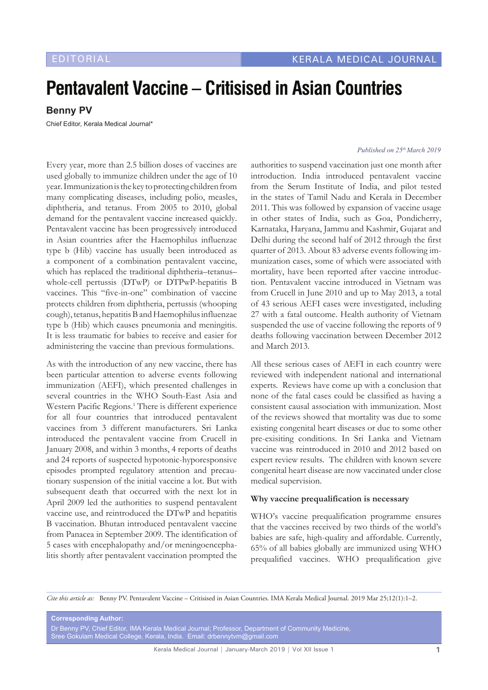# **Pentavalent Vaccine – Critisised in Asian Countries**

**Benny PV**

Chief Editor, Kerala Medical Journal\*

Every year, more than 2.5 billion doses of vaccines are used globally to immunize children under the age of 10 year. Immunization is the key to protecting children from many complicating diseases, including polio, measles, diphtheria, and tetanus. From 2005 to 2010, global demand for the pentavalent vaccine increased quickly. Pentavalent vaccine has been progressively introduced in Asian countries after the Haemophilus influenzae type b (Hib) vaccine has usually been introduced as a component of a combination pentavalent vaccine, which has replaced the traditional diphtheria–tetanus– whole-cell pertussis (DTwP) or DTPwP-hepatitis B vaccines. This "five-in-one" combination of vaccine protects children from diphtheria, pertussis (whooping cough), tetanus, hepatitis B and Haemophilus influenzae type b (Hib) which causes pneumonia and meningitis. It is less traumatic for babies to receive and easier for administering the vaccine than previous formulations.

As with the introduction of any new vaccine, there has been particular attention to adverse events following immunization (AEFI), which presented challenges in several countries in the WHO South-East Asia and Western Pacific Regions.<sup>1</sup> There is different experience for all four countries that introduced pentavalent vaccines from 3 different manufacturers. Sri Lanka introduced the pentavalent vaccine from Crucell in January 2008, and within 3 months, 4 reports of deaths and 24 reports of suspected hypotonic-hyporesponsive episodes prompted regulatory attention and precautionary suspension of the initial vaccine a lot. But with subsequent death that occurred with the next lot in April 2009 led the authorities to suspend pentavalent vaccine use, and reintroduced the DTwP and hepatitis B vaccination. Bhutan introduced pentavalent vaccine from Panacea in September 2009. The identification of 5 cases with encephalopathy and/or meningoencephalitis shortly after pentavalent vaccination prompted the

#### *Published on 25th March 2019*

authorities to suspend vaccination just one month after introduction. India introduced pentavalent vaccine from the Serum Institute of India, and pilot tested in the states of Tamil Nadu and Kerala in December 2011. This was followed by expansion of vaccine usage in other states of India, such as Goa, Pondicherry, Karnataka, Haryana, Jammu and Kashmir, Gujarat and Delhi during the second half of 2012 through the first quarter of 2013. About 83 adverse events following immunization cases, some of which were associated with mortality, have been reported after vaccine introduction. Pentavalent vaccine introduced in Vietnam was from Crucell in June 2010 and up to May 2013, a total of 43 serious AEFI cases were investigated, including 27 with a fatal outcome. Health authority of Vietnam suspended the use of vaccine following the reports of 9 deaths following vaccination between December 2012 and March 2013.

All these serious cases of AEFI in each country were reviewed with independent national and international experts. Reviews have come up with a conclusion that none of the fatal cases could be classified as having a consistent causal association with immunization. Most of the reviews showed that mortality was due to some existing congenital heart diseases or due to some other pre-exisiting conditions. In Sri Lanka and Vietnam vaccine was reintroduced in 2010 and 2012 based on expert review results. The children with known severe congenital heart disease are now vaccinated under close medical supervision.

#### **Why vaccine prequalification is necessary**

WHO's vaccine prequalification programme ensures that the vaccines received by two thirds of the world's babies are safe, high-quality and affordable. Currently, 65% of all babies globally are immunized using WHO prequalified vaccines. WHO prequalification give

*Cite this article as:* Benny PV. Pentavalent Vaccine – Critisised in Asian Countries. IMA Kerala Medical Journal. 2019 Mar 25;12(1):1–2.

**Corresponding Author:** Dr Benny PV, Chief Editor, IMA Kerala Medical Journal; Professor, Department of Community Medicine, Sree Gokulam Medical College, Kerala, India. Email: drbennytvm@gmail.com

Kerala Medical Journal | January-March 2019 | Vol XII Issue 1